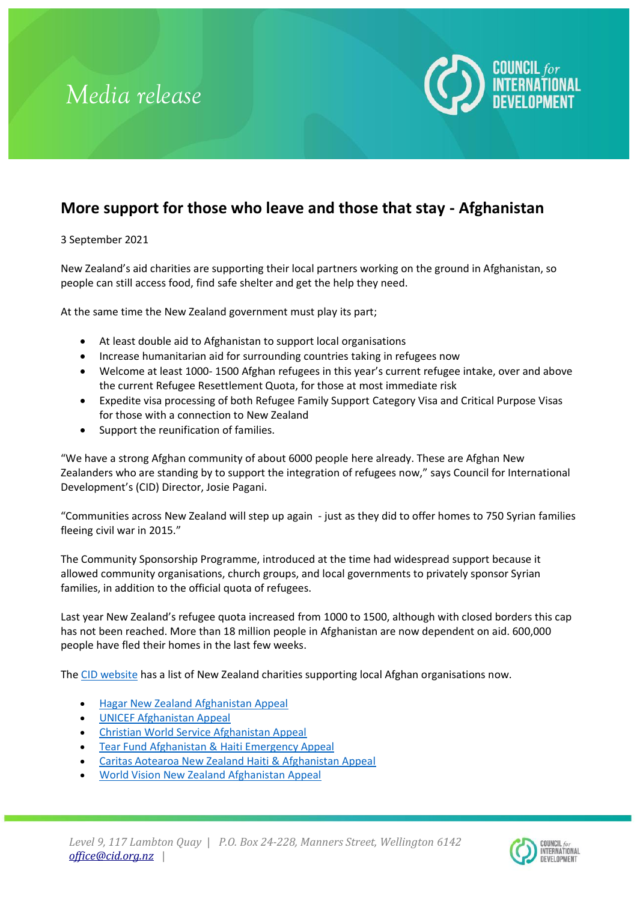## *Media release*



## **More support for those who leave and those that stay - Afghanistan**

3 September 2021

New Zealand's aid charities are supporting their local partners working on the ground in Afghanistan, so people can still access food, find safe shelter and get the help they need.

At the same time the New Zealand government must play its part;

- At least double aid to Afghanistan to support local organisations
- Increase humanitarian aid for surrounding countries taking in refugees now
- Welcome at least 1000- 1500 Afghan refugees in this year's current refugee intake, over and above the current Refugee Resettlement Quota, for those at most immediate risk
- Expedite visa processing of both Refugee Family Support Category Visa and Critical Purpose Visas for those with a connection to New Zealand
- Support the reunification of families.

"We have a strong Afghan community of about 6000 people here already. These are Afghan New Zealanders who are standing by to support the integration of refugees now," says Council for International Development's (CID) Director, Josie Pagani.

"Communities across New Zealand will step up again - just as they did to offer homes to 750 Syrian families fleeing civil war in 2015."

The Community Sponsorship Programme, introduced at the time had widespread support because it allowed community organisations, church groups, and local governments to privately sponsor Syrian families, in addition to the official quota of refugees.

Last year New Zealand's refugee quota increased from 1000 to 1500, although with closed borders this cap has not been reached. More than 18 million people in Afghanistan are now dependent on aid. 600,000 people have fled their homes in the last few weeks.

The [CID website](https://www.cid.org.nz/connect/news/global-giving-week-16th-20th-august/) has a list of New Zealand charities supporting local Afghan organisations now.

- [Hagar New Zealand Afghanistan Appeal](https://hagar.org.nz/afghanistanresponse-2/)
- [UNICEF Afghanistan Appeal](https://www.unicef.org.nz/)
- [Christian World Service Afghanistan Appeal](https://cws.org.nz/afghanistan-needs-urgent-humanitarian-help/)
- [Tear Fund Afghanistan & Haiti Emergency Appeal](https://www.tearfund.org.nz/afghanistanhaiti)
- [Caritas Aotearoa New Zealand Haiti & Afghanistan Appeal](https://caritas.org.nz/newsroom/media-releases/caritas-responds-need-haiti-and-afghanistan)
- [World Vision New Zealand Afghanistan Appeal](https://www.worldvision.org.nz/give-now/children-in-crisis/afghanistan/?utm_campaign=cic-afghanistan)